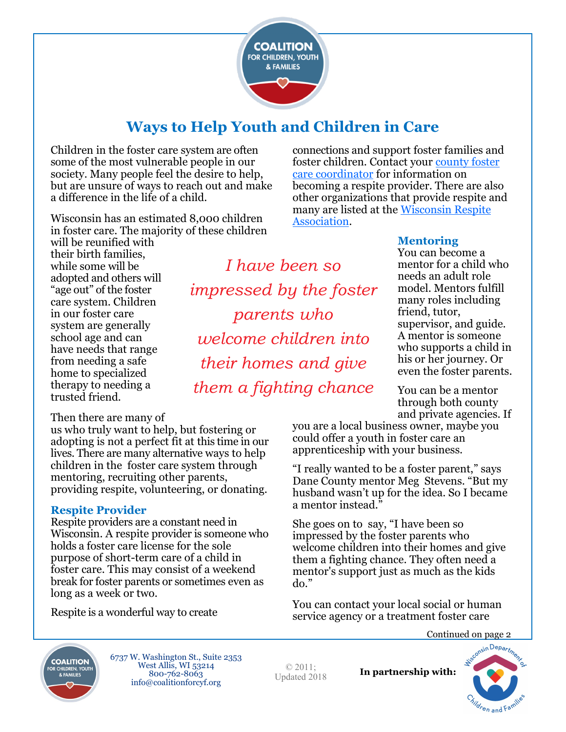

# **Ways to Help Youth and Children in Care**

Children in the foster care system are often some of the most vulnerable people in our society. Many people feel the desire to help, but are unsure of ways to reach out and make a difference in the life of a child.

Wisconsin has an estimated 8,000 children in foster care. The majority of these children

will be reunified with their birth families, while some will be adopted and others will "age out" of the foster care system. Children in our foster care system are generally school age and can have needs that range from needing a safe home to specialized therapy to needing a trusted friend.

*I have been so impressed by the foster parents who welcome children into their homes and give them a fighting chance*

### **Mentoring**

connections and support foster families and foster children. Contact your county foster

becoming a respite provider. There are also other organizations that provide respite and many are listed at the [Wisconsin Respite](http://respitecarewi.org) 

[care coordinator](https://wifostercareandadoption.org/get-started/licensing-contacts/) for information on

You can become a mentor for a child who needs an adult role model. Mentors fulfill many roles including friend, tutor, supervisor, and guide. A mentor is someone who supports a child in his or her journey. Or even the foster parents.

You can be a mentor through both county and private agencies. If

you are a local business owner, maybe you could offer a youth in foster care an apprenticeship with your business.

"I really wanted to be a foster parent," says Dane County mentor Meg Stevens. "But my husband wasn't up for the idea. So I became a mentor instead."

She goes on to say, "I have been so impressed by the foster parents who welcome children into their homes and give them a fighting chance. They often need a mentor's support just as much as the kids do."

You can contact your local social or human service agency or a treatment foster care



6737 W. Washington St., Suite 2353 West Allis, WI 53214 800-762-8063 info@coalitionforcyf.org

© 2011; Updated 2018

**In partnership with:**



[Association.](http://respitecarewi.org)

#### Then there are many of

us who truly want to help, but fostering or adopting is not a perfect fit at this time in our lives. There are many alternative ways to help children in the foster care system through mentoring, recruiting other parents, providing respite, volunteering, or donating.

#### **Respite Provider**

Respite providers are a constant need in Wisconsin. A respite provider is someone who holds a foster care license for the sole purpose of short-term care of a child in foster care. This may consist of a weekend break for foster parents or sometimes even as long as a week or two.

Respite is a wonderful way to create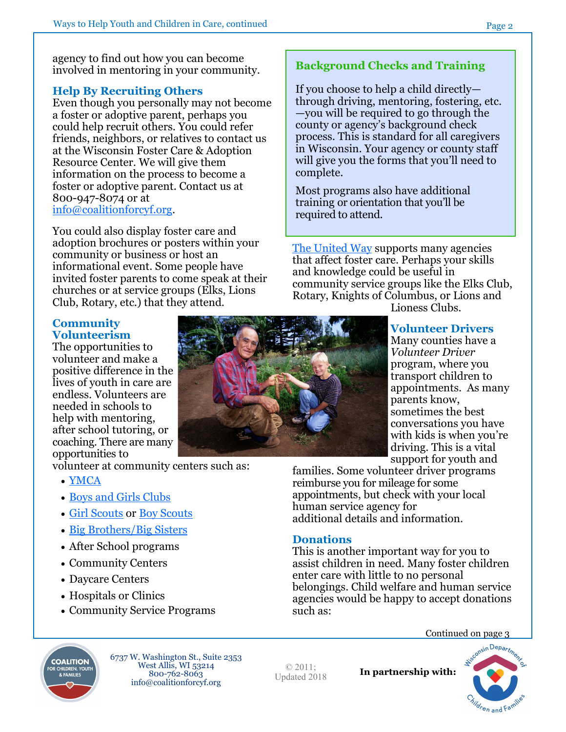agency to find out how you can become involved in mentoring in your community.

## **Help By Recruiting Others**

Even though you personally may not become a foster or adoptive parent, perhaps you could help recruit others. You could refer friends, neighbors, or relatives to contact us at the Wisconsin Foster Care & Adoption Resource Center. We will give them information on the process to become a foster or adoptive parent. Contact us at 800-947-8074 or at info@coalitionforcyf.org.

You could also display foster care and adoption brochures or posters within your community or business or host an informational event. Some people have invited foster parents to come speak at their churches or at service groups (Elks, Lions Club, Rotary, etc.) that they attend.

#### **Community Volunteerism**

The opportunities to volunteer and make a positive difference in the lives of youth in care are endless. Volunteers are needed in schools to help with mentoring, after school tutoring, or coaching. There are many opportunities to

volunteer at community centers such as:

- [YMCA](http://www.ymca.net)
- [Boys and Girls Clubs](http://www.bgca.org/Pages/index.aspx)
- [Girl Scouts](http://www.girlscouts.org/) or [Boy Scouts](http://www.scouting.org/)
- [Big Brothers/Big Sisters](http://www.bbbs.org/)
- After School programs
- Community Centers
- Daycare Centers
- Hospitals or Clinics
- Community Service Programs

## **Background Checks and Training**

If you choose to help a child directly through driving, mentoring, fostering, etc. —you will be required to go through the county or agency's background check process. This is standard for all caregivers in Wisconsin. Your agency or county staff will give you the forms that you'll need to complete.

Most programs also have additional training or orientation that you'll be required to attend.

[The United Way](http://www.unitedway.org/) supports many agencies that affect foster care. Perhaps your skills and knowledge could be useful in community service groups like the Elks Club, Rotary, Knights of Columbus, or Lions and

Lioness Clubs.

### **Volunteer Drivers**

Many counties have a *Volunteer Driver*  program, where you transport children to appointments. As many parents know, sometimes the best conversations you have with kids is when you're driving. This is a vital support for youth and

families. Some volunteer driver programs reimburse you for mileage for some appointments, but check with your local human service agency for additional details and information.

## **Donations**

This is another important way for you to assist children in need. Many foster children enter care with little to no personal belongings. Child welfare and human service agencies would be happy to accept donations such as:

Continued on page 3



6737 W. Washington St., Suite 2353 West Allis, WI 53214 800-762-8063 info@coalitionforcyf.org

© 2011; Updated 2018

**In partnership with:**